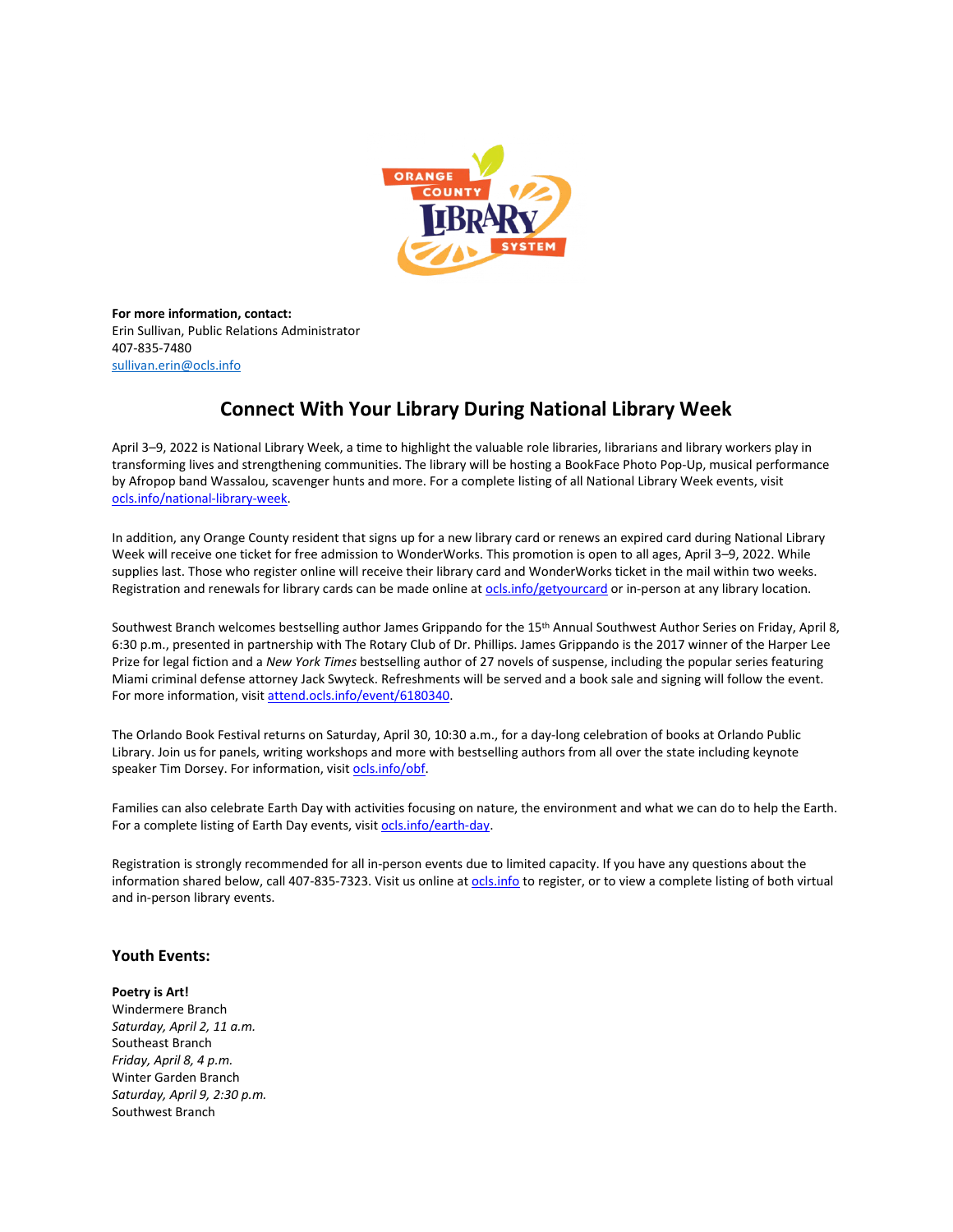

**For more information, contact:** Erin Sullivan, Public Relations Administrator 407-835-7480 [sullivan.erin@ocls.info](mailto:sullivan.erin@ocls.info)

# **Connect With Your Library During National Library Week**

April 3–9, 2022 is National Library Week, a time to highlight the valuable role libraries, librarians and library workers play in transforming lives and strengthening communities. The library will be hosting a BookFace Photo Pop-Up, musical performance by Afropop band Wassalou, scavenger hunts and more. For a complete listing of all National Library Week events, visit [ocls.info/national-library-week.](https://www.ocls.info/national-library-week)

In addition, any Orange County resident that signs up for a new library card or renews an expired card during National Library Week will receive one ticket for free admission to WonderWorks. This promotion is open to all ages, April 3–9, 2022. While supplies last. Those who register online will receive their library card and WonderWorks ticket in the mail within two weeks. Registration and renewals for library cards can be made online at [ocls.info/getyourcard](https://www.ocls.info/getyourcard) or in-person at any library location.

Southwest Branch welcomes bestselling author James Grippando for the 15th Annual Southwest Author Series on Friday, April 8, 6:30 p.m., presented in partnership with The Rotary Club of Dr. Phillips. James Grippando is the 2017 winner of the Harper Lee Prize for legal fiction and a *New York Times* bestselling author of 27 novels of suspense, including the popular series featuring Miami criminal defense attorney Jack Swyteck. Refreshments will be served and a book sale and signing will follow the event. For more information, visit [attend.ocls.info/event/6180340.](https://attend.ocls.info/event/6180340)

The Orlando Book Festival returns on Saturday, April 30, 10:30 a.m., for a day-long celebration of books at Orlando Public Library. Join us for panels, writing workshops and more with bestselling authors from all over the state including keynote speaker Tim Dorsey. For information, visit [ocls.info/obf.](http://www.ocls.info/obf)

Families can also celebrate Earth Day with activities focusing on nature, the environment and what we can do to help the Earth. For a complete listing of Earth Day events, visit [ocls.info/earth-day.](https://ocls.info/earth-day)

Registration is strongly recommended for all in-person events due to limited capacity. If you have any questions about the information shared below, call 407-835-7323. Visit us online at [ocls.info](http://www.ocls.info/) to register, or to view a complete listing of both virtual and in-person library events.

# **Youth Events:**

**Poetry is Art!** Windermere Branch *Saturday, April 2, 11 a.m.* Southeast Branch *Friday, April 8, 4 p.m.* Winter Garden Branch *Saturday, April 9, 2:30 p.m.* Southwest Branch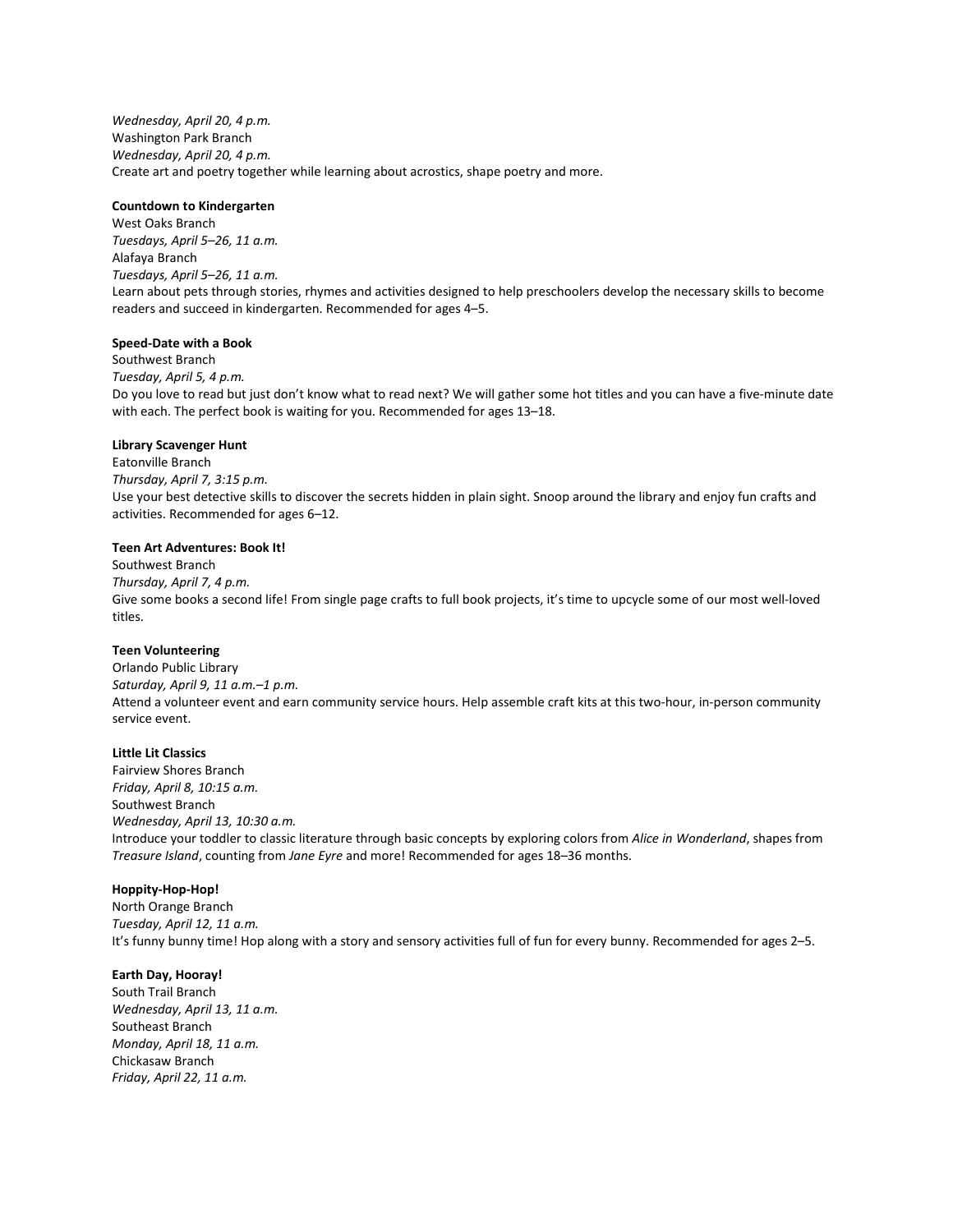*Wednesday, April 20, 4 p.m.* Washington Park Branch *Wednesday, April 20, 4 p.m.* Create art and poetry together while learning about acrostics, shape poetry and more.

#### **Countdown to Kindergarten**

West Oaks Branch *Tuesdays, April 5–26, 11 a.m.* Alafaya Branch *Tuesdays, April 5–26, 11 a.m.* Learn about pets through stories, rhymes and activities designed to help preschoolers develop the necessary skills to become readers and succeed in kindergarten. Recommended for ages 4–5.

## **Speed-Date with a Book**

Southwest Branch *Tuesday, April 5, 4 p.m.* Do you love to read but just don't know what to read next? We will gather some hot titles and you can have a five-minute date with each. The perfect book is waiting for you. Recommended for ages 13–18.

#### **Library Scavenger Hunt**

Eatonville Branch *Thursday, April 7, 3:15 p.m.* Use your best detective skills to discover the secrets hidden in plain sight. Snoop around the library and enjoy fun crafts and activities. Recommended for ages 6–12.

#### **Teen Art Adventures: Book It!**

Southwest Branch *Thursday, April 7, 4 p.m.* Give some books a second life! From single page crafts to full book projects, it's time to upcycle some of our most well-loved titles.

#### **Teen Volunteering**

Orlando Public Library *Saturday, April 9, 11 a.m.–1 p.m.* Attend a volunteer event and earn community service hours. Help assemble craft kits at this two-hour, in-person community service event.

## **Little Lit Classics**

Fairview Shores Branch *Friday, April 8, 10:15 a.m.* Southwest Branch *Wednesday, April 13, 10:30 a.m.* Introduce your toddler to classic literature through basic concepts by exploring colors from *Alice in Wonderland*, shapes from *Treasure Island*, counting from *Jane Eyre* and more! Recommended for ages 18–36 months.

#### **Hoppity-Hop-Hop!**

North Orange Branch *Tuesday, April 12, 11 a.m.* It's funny bunny time! Hop along with a story and sensory activities full of fun for every bunny. Recommended for ages 2–5.

## **Earth Day, Hooray!**

South Trail Branch *Wednesday, April 13, 11 a.m.* Southeast Branch *Monday, April 18, 11 a.m.* Chickasaw Branch *Friday, April 22, 11 a.m.*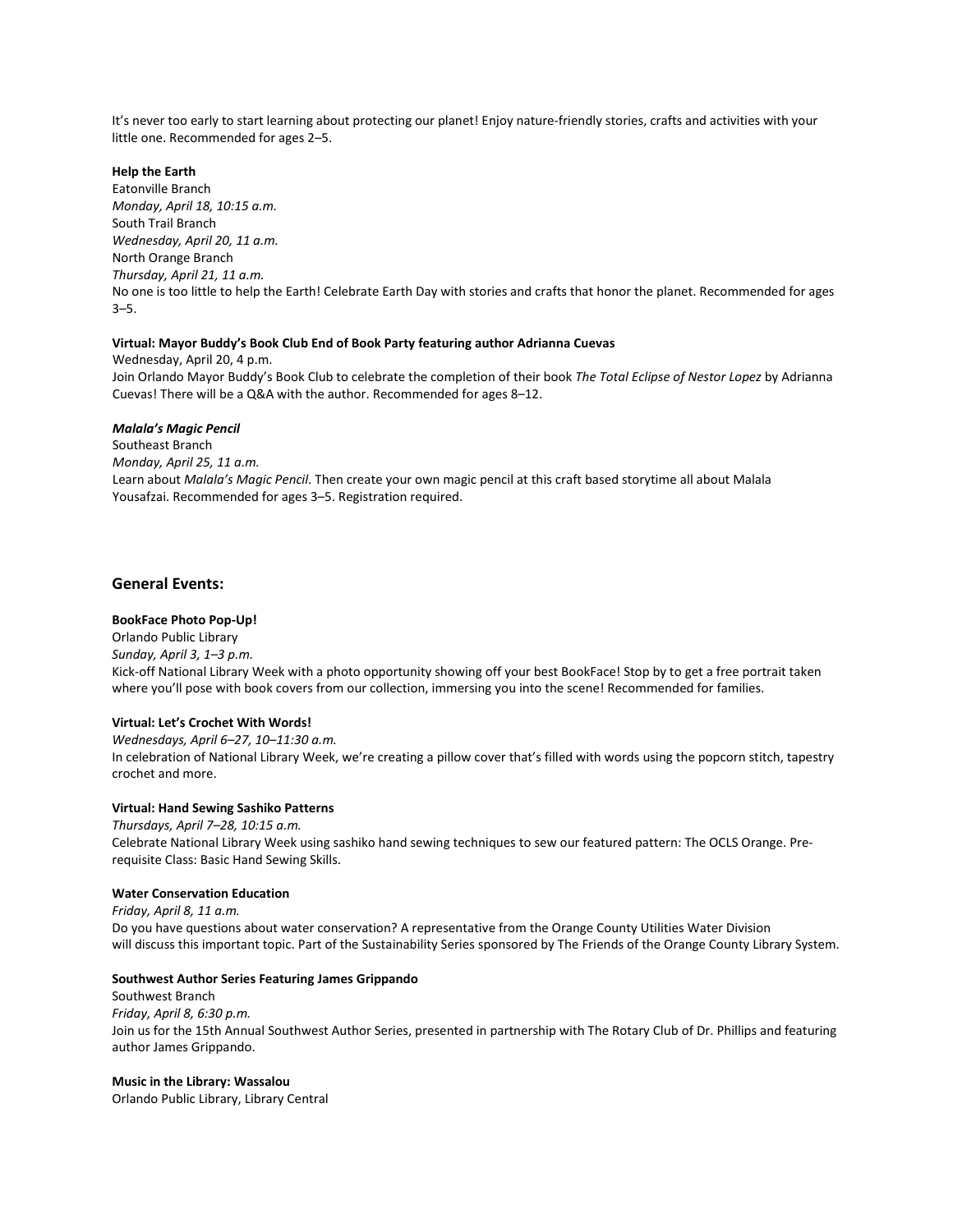It's never too early to start learning about protecting our planet! Enjoy nature-friendly stories, crafts and activities with your little one. Recommended for ages 2–5.

## **Help the Earth**

Eatonville Branch *Monday, April 18, 10:15 a.m.* South Trail Branch *Wednesday, April 20, 11 a.m.* North Orange Branch *Thursday, April 21, 11 a.m.* No one is too little to help the Earth! Celebrate Earth Day with stories and crafts that honor the planet. Recommended for ages 3–5.

## **Virtual: Mayor Buddy's Book Club End of Book Party featuring author Adrianna Cuevas**

Wednesday, April 20, 4 p.m. Join Orlando Mayor Buddy's Book Club to celebrate the completion of their book *The Total Eclipse of Nestor Lopez* by Adrianna Cuevas! There will be a Q&A with the author. Recommended for ages 8–12.

#### *Malala's Magic Pencil*

Southeast Branch *Monday, April 25, 11 a.m.* Learn about *Malala's Magic Pencil*. Then create your own magic pencil at this craft based storytime all about Malala Yousafzai. Recommended for ages 3–5. Registration required.

## **General Events:**

## **BookFace Photo Pop-Up!**

Orlando Public Library *Sunday, April 3, 1–3 p.m.* Kick-off National Library Week with a photo opportunity showing off your best BookFace! Stop by to get a free portrait taken where you'll pose with book covers from our collection, immersing you into the scene! Recommended for families.

#### **Virtual: Let's Crochet With Words!**

*Wednesdays, April 6–27, 10–11:30 a.m.* In celebration of National Library Week, we're creating a pillow cover that's filled with words using the popcorn stitch, tapestry crochet and more.

#### **Virtual: Hand Sewing Sashiko Patterns**

*Thursdays, April 7–28, 10:15 a.m.* Celebrate National Library Week using sashiko hand sewing techniques to sew our featured pattern: The OCLS Orange. Prerequisite Class: Basic Hand Sewing Skills.

#### **Water Conservation Education**

*Friday, April 8, 11 a.m.* Do you have questions about water conservation? A representative from the Orange County Utilities Water Division will discuss this important topic. Part of the Sustainability Series sponsored by The Friends of the Orange County Library System.

## **Southwest Author Series Featuring James Grippando**

Southwest Branch *Friday, April 8, 6:30 p.m.* Join us for the 15th Annual Southwest Author Series, presented in partnership with The Rotary Club of Dr. Phillips and featuring author James Grippando.

#### **Music in the Library: Wassalou**

Orlando Public Library, Library Central